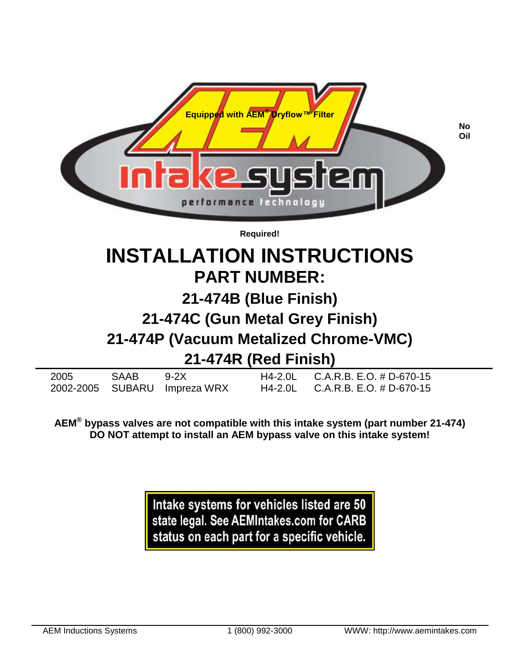

# **INSTALLATION INSTRUCTIONS PART NUMBER:**

## **21-474B (Blue Finish)**

## **21-474C (Gun Metal Grey Finish)**

## **21-474P (Vacuum Metalized Chrome-VMC)**

## **21-474R (Red Finish)**

| 2005 | SAAB 9-2X |                              | $H4-2.0$ L C.A.R.B. E.O. # D-670-15 |
|------|-----------|------------------------------|-------------------------------------|
|      |           | 2002-2005 SUBARU Impreza WRX | $H4-2.0$ L C.A.R.B. E.O. # D-670-15 |

**AEM® bypass valves are not compatible with this intake system (part number 21-474) DO NOT attempt to install an AEM bypass valve on this intake system!**

> Intake systems for vehicles listed are 50 state legal. See AEMIntakes.com for CARB status on each part for a specific vehicle.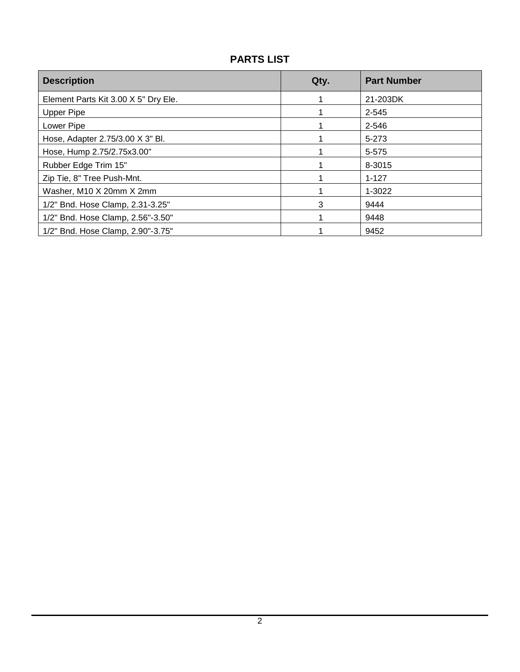### **PARTS LIST**

| <b>Description</b>                   | Qty. | <b>Part Number</b> |
|--------------------------------------|------|--------------------|
| Element Parts Kit 3.00 X 5" Dry Ele. |      | 21-203DK           |
| <b>Upper Pipe</b>                    |      | 2-545              |
| Lower Pipe                           |      | 2-546              |
| Hose, Adapter 2.75/3.00 X 3" Bl.     |      | 5-273              |
| Hose, Hump 2.75/2.75x3.00"           |      | 5-575              |
| Rubber Edge Trim 15"                 |      | 8-3015             |
| Zip Tie, 8" Tree Push-Mnt.           |      | $1 - 127$          |
| Washer, M10 X 20mm X 2mm             |      | 1-3022             |
| 1/2" Bnd. Hose Clamp, 2.31-3.25"     | 3    | 9444               |
| 1/2" Bnd. Hose Clamp, 2.56"-3.50"    |      | 9448               |
| 1/2" Bnd. Hose Clamp, 2.90"-3.75"    | 4    | 9452               |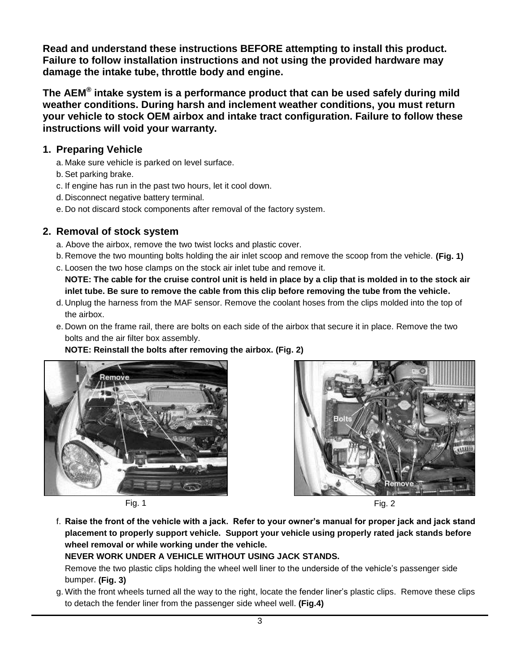**Read and understand these instructions BEFORE attempting to install this product. Failure to follow installation instructions and not using the provided hardware may damage the intake tube, throttle body and engine.**

**The AEM® intake system is a performance product that can be used safely during mild weather conditions. During harsh and inclement weather conditions, you must return your vehicle to stock OEM airbox and intake tract configuration. Failure to follow these instructions will void your warranty.**

#### **1. Preparing Vehicle**

- a. Make sure vehicle is parked on level surface.
- b. Set parking brake.
- c. If engine has run in the past two hours, let it cool down.
- d. Disconnect negative battery terminal.
- e. Do not discard stock components after removal of the factory system.

### **2. Removal of stock system**

- a. Above the airbox, remove the two twist locks and plastic cover.
- b. Remove the two mounting bolts holding the air inlet scoop and remove the scoop from the vehicle. **(Fig. 1)**
- c. Loosen the two hose clamps on the stock air inlet tube and remove it.

**NOTE: The cable for the cruise control unit is held in place by a clip that is molded in to the stock air inlet tube. Be sure to remove the cable from this clip before removing the tube from the vehicle.**

- d. Unplug the harness from the MAF sensor. Remove the coolant hoses from the clips molded into the top of the airbox.
- e. Down on the frame rail, there are bolts on each side of the airbox that secure it in place. Remove the two bolts and the air filter box assembly.





Fig. 1 Fig. 2



f. **Raise the front of the vehicle with a jack. Refer to your owner's manual for proper jack and jack stand placement to properly support vehicle. Support your vehicle using properly rated jack stands before wheel removal or while working under the vehicle.**

#### **NEVER WORK UNDER A VEHICLE WITHOUT USING JACK STANDS.**

Remove the two plastic clips holding the wheel well liner to the underside of the vehicle's passenger side bumper. **(Fig. 3)**

g. With the front wheels turned all the way to the right, locate the fender liner's plastic clips. Remove these clips to detach the fender liner from the passenger side wheel well. **(Fig.4)**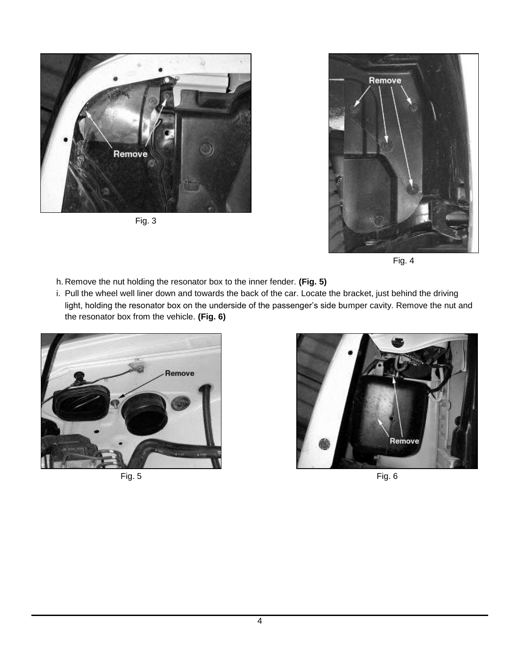

Fig. 3



Fig. 4

- h. Remove the nut holding the resonator box to the inner fender. **(Fig. 5)**
- i. Pull the wheel well liner down and towards the back of the car. Locate the bracket, just behind the driving light, holding the resonator box on the underside of the passenger's side bumper cavity. Remove the nut and the resonator box from the vehicle. **(Fig. 6)**



Fig. 5 Fig. 6

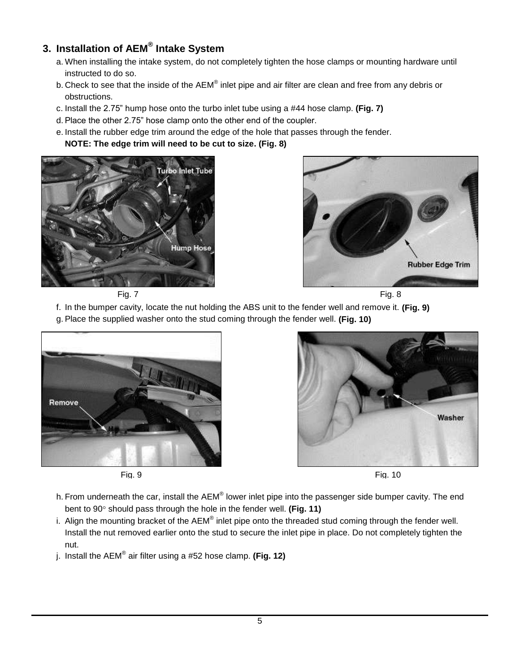### **3. Installation of AEM® Intake System**

- a. When installing the intake system, do not completely tighten the hose clamps or mounting hardware until instructed to do so.
- b. Check to see that the inside of the AEM $^{\circledast}$  inlet pipe and air filter are clean and free from any debris or obstructions.
- c. Install the 2.75" hump hose onto the turbo inlet tube using a #44 hose clamp. **(Fig. 7)**
- d. Place the other 2.75" hose clamp onto the other end of the coupler.
- e. Install the rubber edge trim around the edge of the hole that passes through the fender. **NOTE: The edge trim will need to be cut to size. (Fig. 8)**





Fig. 7 Fig. 8

- f. In the bumper cavity, locate the nut holding the ABS unit to the fender well and remove it. **(Fig. 9)**
- g. Place the supplied washer onto the stud coming through the fender well. **(Fig. 10)**







Fig. 9 Fig. 10

- h. From underneath the car, install the AEM® lower inlet pipe into the passenger side bumper cavity. The end bent to 90° should pass through the hole in the fender well. (Fig. 11)
- i. Align the mounting bracket of the AEM<sup>®</sup> inlet pipe onto the threaded stud coming through the fender well. Install the nut removed earlier onto the stud to secure the inlet pipe in place. Do not completely tighten the nut.
- j. Install the AEM® air filter using a #52 hose clamp. **(Fig. 12)**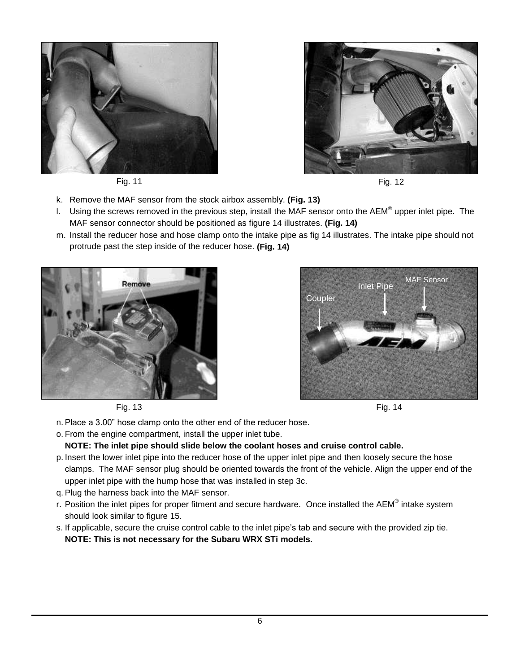





Fig. 11 Fig. 12

- k. Remove the MAF sensor from the stock airbox assembly. **(Fig. 13)**
- I. Using the screws removed in the previous step, install the MAF sensor onto the AEM® upper inlet pipe. The MAF sensor connector should be positioned as figure 14 illustrates. **(Fig. 14)**
- m. Install the reducer hose and hose clamp onto the intake pipe as fig 14 illustrates. The intake pipe should not protrude past the step inside of the reducer hose. **(Fig. 14)**







- n. Place a 3.00" hose clamp onto the other end of the reducer hose.
- o. From the engine compartment, install the upper inlet tube.

#### **NOTE: The inlet pipe should slide below the coolant hoses and cruise control cable.**

- p. Insert the lower inlet pipe into the reducer hose of the upper inlet pipe and then loosely secure the hose clamps. The MAF sensor plug should be oriented towards the front of the vehicle. Align the upper end of the upper inlet pipe with the hump hose that was installed in step 3c.
- q. Plug the harness back into the MAF sensor.
- r. Position the inlet pipes for proper fitment and secure hardware. Once installed the AEM® intake system should look similar to figure 15.
- s. If applicable, secure the cruise control cable to the inlet pipe's tab and secure with the provided zip tie. **NOTE: This is not necessary for the Subaru WRX STi models.**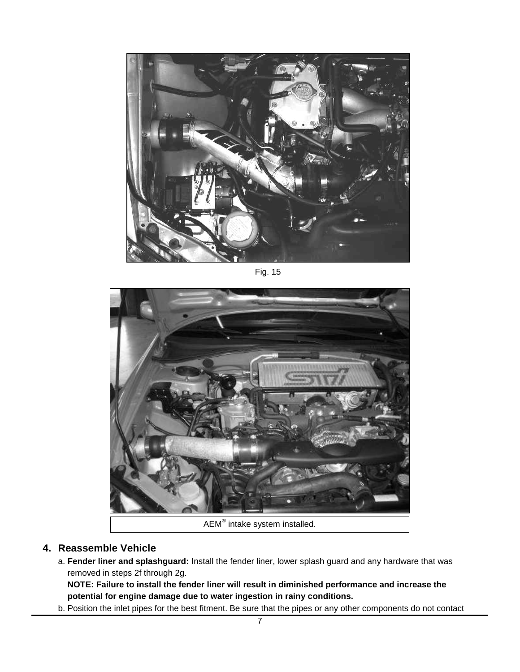

Fig. 15



### **4. Reassemble Vehicle**

a. **Fender liner and splashguard:** Install the fender liner, lower splash guard and any hardware that was removed in steps 2f through 2g.

**NOTE: Failure to install the fender liner will result in diminished performance and increase the potential for engine damage due to water ingestion in rainy conditions.**

b. Position the inlet pipes for the best fitment. Be sure that the pipes or any other components do not contact